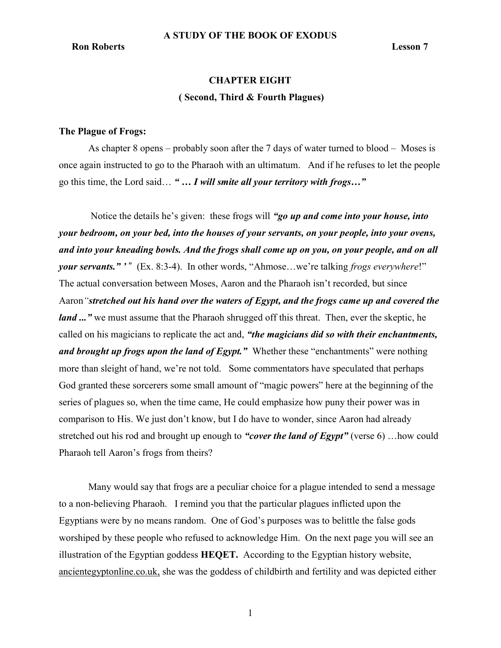## **Ron Roberts** Lesson 7

# CHAPTER EIGHT ( Second, Third & Fourth Plagues)

#### The Plague of Frogs:

As chapter 8 opens – probably soon after the 7 days of water turned to blood – Moses is once again instructed to go to the Pharaoh with an ultimatum. And if he refuses to let the people go this time, the Lord said… " … I will smite all your territory with frogs…"

Notice the details he's given: these frogs will "go up and come into your house, into your bedroom, on your bed, into the houses of your servants, on your people, into your ovens, and into your kneading bowls. And the frogs shall come up on you, on your people, and on all your servants." '" (Ex. 8:3-4). In other words, "Ahmose...we're talking frogs everywhere!" The actual conversation between Moses, Aaron and the Pharaoh isn't recorded, but since Aaron "stretched out his hand over the waters of Egypt, and the frogs came up and covered the land ..." we must assume that the Pharaoh shrugged off this threat. Then, ever the skeptic, he called on his magicians to replicate the act and, "the magicians did so with their enchantments, and brought up frogs upon the land of Egypt." Whether these "enchantments" were nothing more than sleight of hand, we're not told. Some commentators have speculated that perhaps God granted these sorcerers some small amount of "magic powers" here at the beginning of the series of plagues so, when the time came, He could emphasize how puny their power was in comparison to His. We just don't know, but I do have to wonder, since Aaron had already stretched out his rod and brought up enough to "cover the land of Egypt" (verse 6) ... how could Pharaoh tell Aaron's frogs from theirs?

Many would say that frogs are a peculiar choice for a plague intended to send a message to a non-believing Pharaoh. I remind you that the particular plagues inflicted upon the Egyptians were by no means random. One of God's purposes was to belittle the false gods worshiped by these people who refused to acknowledge Him. On the next page you will see an illustration of the Egyptian goddess HEQET. According to the Egyptian history website, ancientegyptonline.co.uk, she was the goddess of childbirth and fertility and was depicted either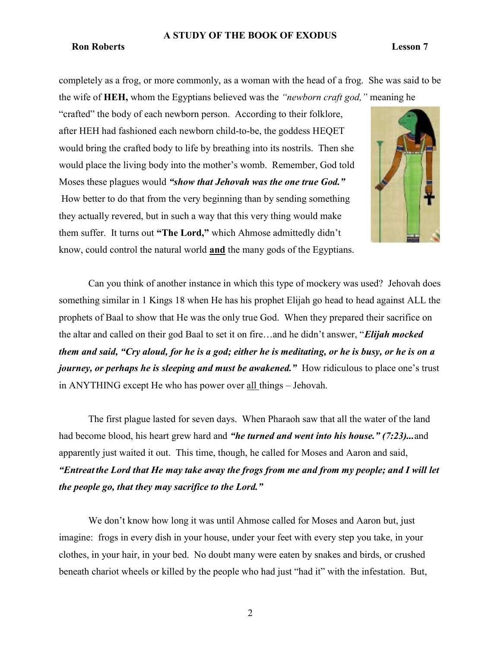#### **Ron Roberts** Lesson 7

completely as a frog, or more commonly, as a woman with the head of a frog. She was said to be the wife of HEH, whom the Egyptians believed was the "newborn craft god," meaning he

"crafted" the body of each newborn person. According to their folklore, after HEH had fashioned each newborn child-to-be, the goddess HEQET would bring the crafted body to life by breathing into its nostrils. Then she would place the living body into the mother's womb. Remember, God told Moses these plagues would "show that Jehovah was the one true God." How better to do that from the very beginning than by sending something they actually revered, but in such a way that this very thing would make them suffer. It turns out "The Lord," which Ahmose admittedly didn't know, could control the natural world and the many gods of the Egyptians.



Can you think of another instance in which this type of mockery was used? Jehovah does something similar in 1 Kings 18 when He has his prophet Elijah go head to head against ALL the prophets of Baal to show that He was the only true God. When they prepared their sacrifice on the altar and called on their god Baal to set it on fire...and he didn't answer, "Elijah mocked them and said, "Cry aloud, for he is a god; either he is meditating, or he is busy, or he is on a journey, or perhaps he is sleeping and must be awakened." How ridiculous to place one's trust in ANYTHING except He who has power over all things – Jehovah.

The first plague lasted for seven days. When Pharaoh saw that all the water of the land had become blood, his heart grew hard and "*he turned and went into his house.*" (7:23)...and apparently just waited it out. This time, though, he called for Moses and Aaron and said, "Entreat the Lord that He may take away the frogs from me and from my people; and I will let the people go, that they may sacrifice to the Lord."

We don't know how long it was until Ahmose called for Moses and Aaron but, just imagine: frogs in every dish in your house, under your feet with every step you take, in your clothes, in your hair, in your bed. No doubt many were eaten by snakes and birds, or crushed beneath chariot wheels or killed by the people who had just "had it" with the infestation. But,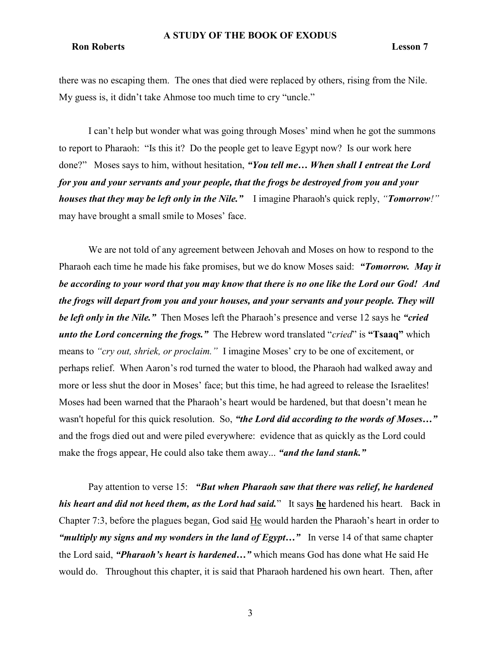# **Ron Roberts** Lesson 7

there was no escaping them. The ones that died were replaced by others, rising from the Nile. My guess is, it didn't take Ahmose too much time to cry "uncle."

I can't help but wonder what was going through Moses' mind when he got the summons to report to Pharaoh: "Is this it? Do the people get to leave Egypt now? Is our work here done?" Moses says to him, without hesitation, "You tell me... When shall I entreat the Lord for you and your servants and your people, that the frogs be destroyed from you and your houses that they may be left only in the Nile." I imagine Pharaoh's quick reply, "Tomorrow!" may have brought a small smile to Moses' face.

We are not told of any agreement between Jehovah and Moses on how to respond to the Pharaoh each time he made his fake promises, but we do know Moses said: "Tomorrow. May it be according to your word that you may know that there is no one like the Lord our God! And the frogs will depart from you and your houses, and your servants and your people. They will be left only in the Nile." Then Moses left the Pharaoh's presence and verse 12 says he "cried" unto the Lord concerning the frogs." The Hebrew word translated "cried" is "Tsaaq" which means to "cry out, shriek, or proclaim." I imagine Moses' cry to be one of excitement, or perhaps relief. When Aaron's rod turned the water to blood, the Pharaoh had walked away and more or less shut the door in Moses' face; but this time, he had agreed to release the Israelites! Moses had been warned that the Pharaoh's heart would be hardened, but that doesn't mean he wasn't hopeful for this quick resolution. So, "the Lord did according to the words of Moses..." and the frogs died out and were piled everywhere: evidence that as quickly as the Lord could make the frogs appear, He could also take them away... "and the land stank."

Pay attention to verse 15: "But when Pharaoh saw that there was relief, he hardened his heart and did not heed them, as the Lord had said." It says he hardened his heart. Back in Chapter 7:3, before the plagues began, God said  $He$  would harden the Pharaoh's heart in order to "multiply my signs and my wonders in the land of  $E$ gypt..." In verse 14 of that same chapter the Lord said, "Pharaoh's heart is hardened..." which means God has done what He said He would do. Throughout this chapter, it is said that Pharaoh hardened his own heart. Then, after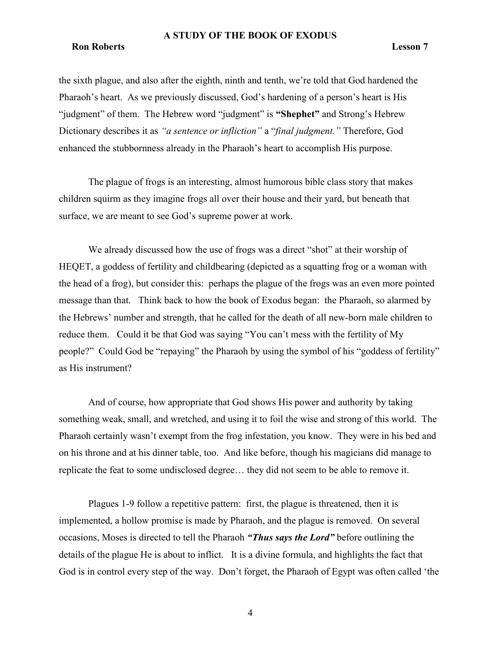# **Ron Roberts** Lesson 7

the sixth plague, and also after the eighth, ninth and tenth, we're told that God hardened the Pharaoh's heart. As we previously discussed, God's hardening of a person's heart is His "judgment" of them. The Hebrew word "judgment" is "Shephet" and Strong's Hebrew Dictionary describes it as "a sentence or infliction" a "final judgment." Therefore, God enhanced the stubbornness already in the Pharaoh's heart to accomplish His purpose.

The plague of frogs is an interesting, almost humorous bible class story that makes children squirm as they imagine frogs all over their house and their yard, but beneath that surface, we are meant to see God's supreme power at work.

We already discussed how the use of frogs was a direct "shot" at their worship of HEQET, a goddess of fertility and childbearing (depicted as a squatting frog or a woman with the head of a frog), but consider this: perhaps the plague of the frogs was an even more pointed message than that. Think back to how the book of Exodus began: the Pharaoh, so alarmed by the Hebrews' number and strength, that he called for the death of all new-born male children to reduce them. Could it be that God was saying "You can't mess with the fertility of My people?" Could God be "repaying" the Pharaoh by using the symbol of his "goddess of fertility" as His instrument?

And of course, how appropriate that God shows His power and authority by taking something weak, small, and wretched, and using it to foil the wise and strong of this world. The Pharaoh certainly wasn't exempt from the frog infestation, you know. They were in his bed and on his throne and at his dinner table, too. And like before, though his magicians did manage to replicate the feat to some undisclosed degree… they did not seem to be able to remove it.

Plagues 1-9 follow a repetitive pattern: first, the plague is threatened, then it is implemented, a hollow promise is made by Pharaoh, and the plague is removed. On several occasions, Moses is directed to tell the Pharaoh "Thus says the Lord" before outlining the details of the plague He is about to inflict. It is a divine formula, and highlights the fact that God is in control every step of the way. Don't forget, the Pharaoh of Egypt was often called 'the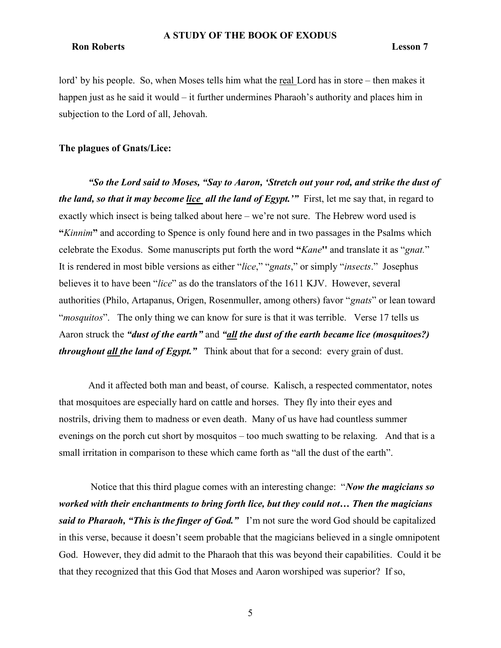# **Ron Roberts** Lesson 7

lord' by his people. So, when Moses tells him what the real Lord has in store – then makes it happen just as he said it would – it further undermines Pharaoh's authority and places him in subjection to the Lord of all, Jehovah.

# The plagues of Gnats/Lice:

"So the Lord said to Moses, "Say to Aaron, 'Stretch out your rod, and strike the dust of the land, so that it may become lice all the land of Egypt." First, let me say that, in regard to exactly which insect is being talked about here – we're not sure. The Hebrew word used is "Kinnim" and according to Spence is only found here and in two passages in the Psalms which celebrate the Exodus. Some manuscripts put forth the word "Kane" and translate it as "gnat." It is rendered in most bible versions as either "*lice*," "gnats," or simply "*insects*." Josephus believes it to have been "lice" as do the translators of the 1611 KJV. However, several authorities (Philo, Artapanus, Origen, Rosenmuller, among others) favor "gnats" or lean toward "*mosquitos*". The only thing we can know for sure is that it was terrible. Verse 17 tells us Aaron struck the "*dust of the earth*" and "*all the dust of the earth became lice (mosquitoes?)* throughout all the land of Egypt." Think about that for a second: every grain of dust.

And it affected both man and beast, of course. Kalisch, a respected commentator, notes that mosquitoes are especially hard on cattle and horses. They fly into their eyes and nostrils, driving them to madness or even death. Many of us have had countless summer evenings on the porch cut short by mosquitos – too much swatting to be relaxing. And that is a small irritation in comparison to these which came forth as "all the dust of the earth".

Notice that this third plague comes with an interesting change: "Now the magicians so worked with their enchantments to bring forth lice, but they could not... Then the magicians said to Pharaoh, "This is the finger of God." I'm not sure the word God should be capitalized in this verse, because it doesn't seem probable that the magicians believed in a single omnipotent God. However, they did admit to the Pharaoh that this was beyond their capabilities. Could it be that they recognized that this God that Moses and Aaron worshiped was superior? If so,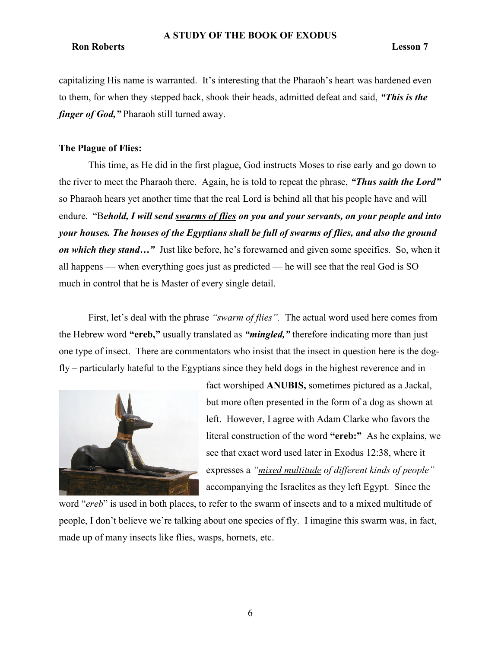# **Ron Roberts** Lesson 7

capitalizing His name is warranted. It's interesting that the Pharaoh's heart was hardened even to them, for when they stepped back, shook their heads, admitted defeat and said, "This is the finger of God," Pharaoh still turned away.

# The Plague of Flies:

This time, as He did in the first plague, God instructs Moses to rise early and go down to the river to meet the Pharaoh there. Again, he is told to repeat the phrase, "Thus saith the Lord" so Pharaoh hears yet another time that the real Lord is behind all that his people have and will endure. "Behold, I will send swarms of flies on you and your servants, on your people and into your houses. The houses of the Egyptians shall be full of swarms of flies, and also the ground on which they stand..." Just like before, he's forewarned and given some specifics. So, when it all happens — when everything goes just as predicted — he will see that the real God is SO much in control that he is Master of every single detail.

First, let's deal with the phrase "swarm of flies". The actual word used here comes from the Hebrew word "ereb," usually translated as "*mingled*," therefore indicating more than just one type of insect. There are commentators who insist that the insect in question here is the dogfly – particularly hateful to the Egyptians since they held dogs in the highest reverence and in



fact worshiped ANUBIS, sometimes pictured as a Jackal, but more often presented in the form of a dog as shown at left. However, I agree with Adam Clarke who favors the literal construction of the word "ereb:" As he explains, we see that exact word used later in Exodus 12:38, where it expresses a "mixed multitude of different kinds of people" accompanying the Israelites as they left Egypt. Since the

word "ereb" is used in both places, to refer to the swarm of insects and to a mixed multitude of people, I don't believe we're talking about one species of fly. I imagine this swarm was, in fact, made up of many insects like flies, wasps, hornets, etc.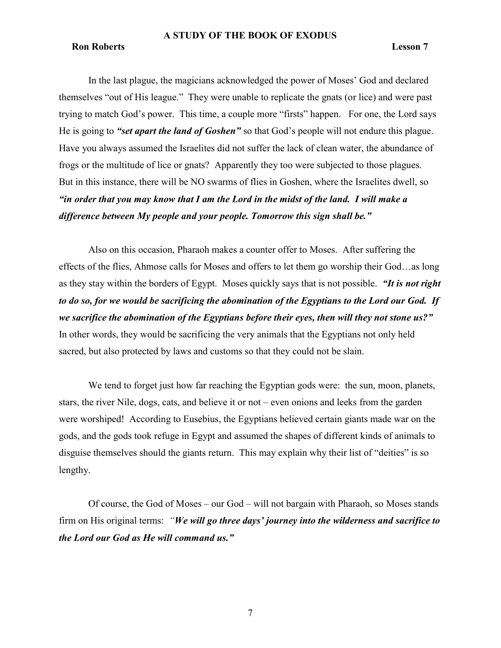## **Ron Roberts** Lesson 7

In the last plague, the magicians acknowledged the power of Moses' God and declared themselves "out of His league." They were unable to replicate the gnats (or lice) and were past trying to match God's power. This time, a couple more "firsts" happen. For one, the Lord says He is going to "set apart the land of Goshen" so that God's people will not endure this plague. Have you always assumed the Israelites did not suffer the lack of clean water, the abundance of frogs or the multitude of lice or gnats? Apparently they too were subjected to those plagues. But in this instance, there will be NO swarms of flies in Goshen, where the Israelites dwell, so "in order that you may know that I am the Lord in the midst of the land. I will make a difference between My people and your people. Tomorrow this sign shall be."

Also on this occasion, Pharaoh makes a counter offer to Moses. After suffering the effects of the flies, Ahmose calls for Moses and offers to let them go worship their God…as long as they stay within the borders of Egypt. Moses quickly says that is not possible. "It is not right to do so, for we would be sacrificing the abomination of the Egyptians to the Lord our God. If we sacrifice the abomination of the Egyptians before their eyes, then will they not stone us?" In other words, they would be sacrificing the very animals that the Egyptians not only held sacred, but also protected by laws and customs so that they could not be slain.

We tend to forget just how far reaching the Egyptian gods were: the sun, moon, planets, stars, the river Nile, dogs, cats, and believe it or not – even onions and leeks from the garden were worshiped! According to Eusebius, the Egyptians believed certain giants made war on the gods, and the gods took refuge in Egypt and assumed the shapes of different kinds of animals to disguise themselves should the giants return. This may explain why their list of "deities" is so lengthy.

Of course, the God of Moses – our God – will not bargain with Pharaoh, so Moses stands firm on His original terms: "We will go three days' journey into the wilderness and sacrifice to the Lord our God as He will command us."